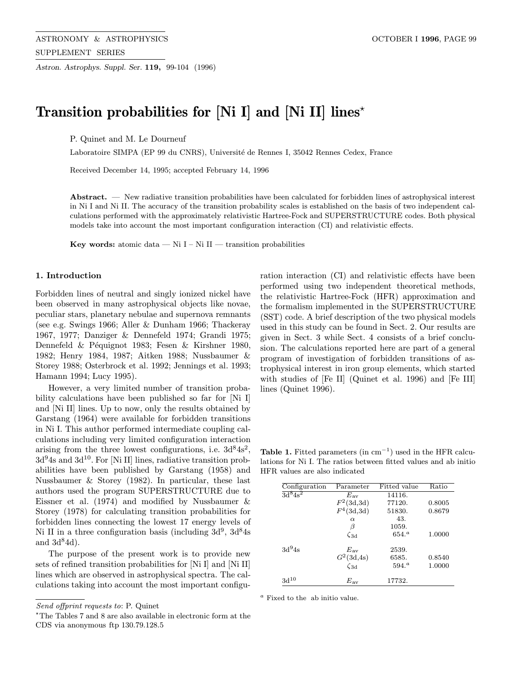Astron. Astrophys. Suppl. Ser. 119, 99-104 (1996)

# Transition probabilities for [Ni I] and [Ni II] lines<sup> $\star$ </sup>

P. Quinet and M. Le Dourneuf

Laboratoire SIMPA (EP 99 du CNRS), Université de Rennes I, 35042 Rennes Cedex, France

Received December 14, 1995; accepted February 14, 1996

Abstract. — New radiative transition probabilities have been calculated for forbidden lines of astrophysical interest in Ni I and Ni II. The accuracy of the transition probability scales is established on the basis of two independent calculations performed with the approximately relativistic Hartree-Fock and SUPERSTRUCTURE codes. Both physical models take into account the most important configuration interaction (CI) and relativistic effects.

Key words: atomic data — Ni I – Ni II — transition probabilities

## 1. Introduction

Forbidden lines of neutral and singly ionized nickel have been observed in many astrophysical objects like novae, peculiar stars, planetary nebulae and supernova remnants (see e.g. Swings 1966; Aller & Dunham 1966; Thackeray 1967, 1977; Danziger & Dennefeld 1974; Grandi 1975; Dennefeld & Péquignot 1983; Fesen & Kirshner 1980, 1982; Henry 1984, 1987; Aitken 1988; Nussbaumer & Storey 1988; Osterbrock et al. 1992; Jennings et al. 1993; Hamann 1994; Lucy 1995).

However, a very limited number of transition probability calculations have been published so far for [Ni I] and [Ni II] lines. Up to now, only the results obtained by Garstang (1964) were available for forbidden transitions in Ni I. This author performed intermediate coupling calculations including very limited configuration interaction arising from the three lowest configurations, i.e.  $3d^84s^2$ ,  $3d^{9}4s$  and  $3d^{10}$ . For [Ni II] lines, radiative transition probabilities have been published by Garstang (1958) and Nussbaumer & Storey (1982). In particular, these last authors used the program SUPERSTRUCTURE due to Eissner et al. (1974) and modified by Nussbaumer & Storey (1978) for calculating transition probabilities for forbidden lines connecting the lowest 17 energy levels of Ni II in a three configuration basis (including  $3d^9$ ,  $3d^8$ 4s and  $3d^84d$ .

The purpose of the present work is to provide new sets of refined transition probabilities for [Ni I] and [Ni II] lines which are observed in astrophysical spectra. The calculations taking into account the most important configu-

 $*$ The Tables 7 and 8 are also available in electronic form at the CDS via anonymous ftp 130.79.128.5

ration interaction (CI) and relativistic effects have been performed using two independent theoretical methods, the relativistic Hartree-Fock (HFR) approximation and the formalism implemented in the SUPERSTRUCTURE (SST) code. A brief description of the two physical models used in this study can be found in Sect. 2. Our results are given in Sect. 3 while Sect. 4 consists of a brief conclusion. The calculations reported here are part of a general program of investigation of forbidden transitions of astrophysical interest in iron group elements, which started with studies of [Fe II] (Quinet et al. 1996) and [Fe III] lines (Quinet 1996).

Table 1. Fitted parameters (in  $cm^{-1}$ ) used in the HFR calculations for Ni I. The ratios between fitted values and ab initio HFR values are also indicated

| Configuration  | Parameter                       | Fitted value      | Ratio  |
|----------------|---------------------------------|-------------------|--------|
| $3d^{8}4s^{2}$ | $E_{\rm av}$                    | 14116.            |        |
|                | $F^2(3d,3d)$                    | 77120.            | 0.8005 |
|                | $F^4(3d,3d)$                    | 51830.            | 0.8679 |
|                | $\alpha$                        | 43.               |        |
|                | β                               | 1059.             |        |
|                | $\zeta_{\rm 3d}$                | $654.^a$          | 1.0000 |
| $3d^9$ 4s      | $E_{\rm av}$                    | 2539.             |        |
|                |                                 | 6585.             | 0.8540 |
|                | $\frac{G^2(3d,4s)}{\zeta_{3d}}$ | 594. <sup>a</sup> | 1.0000 |
| $3d^{10}$      | $E_{\rm av}$                    | 17732.            |        |

 $\emph{^a}$  Fixed to the  $% \emph{a}$  ab initio value.

Send offprint requests to: P. Quinet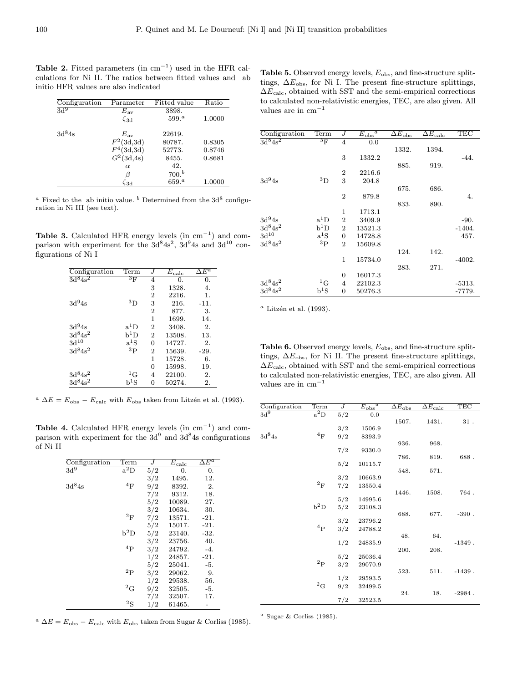Table 2. Fitted parameters (in  $cm^{-1}$ ) used in the HFR calculations for Ni II. The ratios between fitted values and ab initio HFR values are also indicated

| Configuration      | Parameter     | Fitted value      | Ratio  |
|--------------------|---------------|-------------------|--------|
| 3d <sub>0</sub>    | $E_{\rm av}$  | 3898.             |        |
|                    | $\zeta_{3d}$  | 599. <sup>a</sup> | 1.0000 |
| 3d <sup>8</sup> 4s | $E_{\rm av}$  | 22619.            |        |
|                    | $F^2(3d,3d)$  | 80787.            | 0.8305 |
|                    | $F^4(3d,3d)$  | 52773.            | 0.8746 |
|                    | $G^2(3d, 4s)$ | 8455.             | 0.8681 |
|                    | $\alpha$      | 42.               |        |
|                    | β             | 700 <sup>b</sup>  |        |
|                    | $\sqrt{3}d$   | $659.^{a}$        | 1.0000 |

<sup>a</sup> Fixed to the ab initio value. <sup>b</sup> Determined from the  $3d^8$  configuration in Ni III (see text).

Table 3. Calculated HFR energy levels (in  $cm^{-1}$ ) and comparison with experiment for the  $3d^84s^2$ ,  $3d^94s$  and  $3d^{10}$  configurations of Ni I

| Configuration      | Term       | .1             | $E_{\rm calc}$ | $\Delta E^a$ |
|--------------------|------------|----------------|----------------|--------------|
| $3d^{8}4s^{2}$     | $3_F$      | 4              | 0.             | 0.           |
|                    |            | 3              | 1328.          | 4.           |
|                    |            | $\overline{2}$ | 2216.          | 1.           |
| 3d <sup>9</sup> 4s | ${}^{3}D$  | 3              | 216.           | $-11.$       |
|                    |            | $\overline{2}$ | 877.           | 3.           |
|                    |            | 1              | 1699.          | 14.          |
| $3d^{9}4s$         | $a^1D$     | $\overline{2}$ | 3408.          | 2.           |
| $3d^{8}4s^{2}$     | $\rm b^1D$ | $\overline{2}$ | 13508.         | 13.          |
| $\rm 3d^{10}$      | $a^1S$     | $\Omega$       | 14727.         | 2.           |
| $3d^{8}4s^{2}$     | $^{3}P$    | $\overline{2}$ | 15639.         | $-29.$       |
|                    |            | 1              | 15728.         | 6.           |
|                    |            | 0              | 15998.         | 19.          |
| $3d^84s^2$         | ${}^{1}G$  | 4              | 22100.         | 2.           |
| $3d^{8}4s^{2}$     | $\rm b^1S$ | 0              | 50274.         | 2.           |

<sup>a</sup>  $\Delta E = E_{\rm obs} - E_{\rm calc}$  with  $E_{\rm obs}$  taken from Litzén et al. (1993).

Table 4. Calculated HFR energy levels  $(in cm^{-1})$  and comparison with experiment for the  $3d^9$  and  $3d^8$ 4s configurations of Ni II

| Configuration | Term             | $\overline{J}$ | $\overline{E}_{\text{calc}}$ | $\overline{\Delta E^a}$ |
|---------------|------------------|----------------|------------------------------|-------------------------|
| $\rm{3d}^{9}$ | $a^2D$           | 5/2            | 0.                           | $\overline{0}$ .        |
|               |                  | 3/2            | 1495.                        | 12.                     |
| $3d^84s$      | 4F               | 9/2            | 8392.                        | 2.                      |
|               |                  | 7/2            | 9312.                        | 18.                     |
|               |                  | 5/2            | 10089.                       | 27.                     |
|               |                  | 3/2            | 10634.                       | 30.                     |
|               | $^2\mathrm{F}$   | 7/2            | 13571.                       | $-21.$                  |
|               |                  | 5/2            | 15017.                       | $-21.$                  |
|               | $b^2D$           | 5/2            | 23140.                       | -32.                    |
|               |                  | 3/2            | 23756.                       | 40.                     |
|               | $^{4}P$          | 3/2            | 24792.                       | $-4.$                   |
|               |                  | 1/2            | 24857.                       | $-21.$                  |
|               |                  | 5/2            | 25041.                       | $-5.$                   |
|               | $^{2}P$          | 3/2            | 29062.                       | 9.                      |
|               |                  | 1/2            | 29538.                       | 56.                     |
|               | ${}^2\mathrm{G}$ | 9/2            | 32505.                       | $-5.$                   |
|               |                  | 7/2            | 32507.                       | 17.                     |
|               | ${}^{2}S$        | 1/2            | 61465.                       |                         |

<sup>a</sup>  $\Delta E = E_{\rm obs} - E_{\rm calc}$  with  $E_{\rm obs}$  taken from Sugar & Corliss (1985).

| Configuration      | Term             | J                | $\overline{E_{\rm obs}}$<br>$\overline{a}$ | $\overline{\Delta E_{\rm obs}}$ | $\overline{\Delta E_{\text{calc}}}$ | TEC      |
|--------------------|------------------|------------------|--------------------------------------------|---------------------------------|-------------------------------------|----------|
| $3d^{8}4s^{2}$     | ${}^{3}F$        | $\overline{4}$   | 0.0                                        |                                 |                                     |          |
|                    |                  |                  |                                            | 1332.                           | 1394.                               |          |
|                    |                  | 3                | 1332.2                                     |                                 |                                     | $-44.$   |
|                    |                  |                  |                                            | 885.                            | 919.                                |          |
|                    |                  | $\overline{2}$   | 2216.6                                     |                                 |                                     |          |
| $3d^{9}4s$         | $^3\mathrm{D}$   | 3                | 204.8                                      |                                 |                                     |          |
|                    |                  |                  |                                            | 675.                            | 686.                                |          |
|                    |                  | $\overline{2}$   | 879.8                                      |                                 |                                     | 4.       |
|                    |                  |                  |                                            | 833.                            | 890.                                |          |
|                    |                  | 1                | 1713.1                                     |                                 |                                     |          |
| 3d <sup>9</sup> 4s | $a^1D$           | $\overline{2}$   | 3409.9                                     |                                 |                                     | $-90.$   |
| $\rm 3d^84s^2$     | $b^1D$           | $\overline{2}$   | 13521.3                                    |                                 |                                     | $-1404.$ |
| $3d^{10}$          | $a^1S$           | $\overline{0}$   | 14728.8                                    |                                 |                                     | 457.     |
| $3d^84s^2$         | $^{3}P$          | $\overline{2}$   | 15609.8                                    |                                 |                                     |          |
|                    |                  |                  |                                            | 124.                            | 142.                                |          |
|                    |                  | 1                | 15734.0                                    |                                 |                                     | $-4002.$ |
|                    |                  |                  |                                            | 283.                            | 271.                                |          |
|                    |                  | $\boldsymbol{0}$ | 16017.3                                    |                                 |                                     |          |
| $3d^84s^2$         | ${}^1\mathrm{G}$ | 4                | 22102.3                                    |                                 |                                     | $-5313.$ |
| $3d^84s^2$         | $\rm b^1S$       | $\overline{0}$   | 50276.3                                    |                                 |                                     | $-7779.$ |

 $a$  Litzén et al. (1993).

Table 6. Observed energy levels,  $E_{obs}$ , and fine-structure splittings,  $\Delta E_{\rm obs}$ , for Ni II. The present fine-structure splittings,  $\Delta E_{\rm calc},$  obtained with SST and the semi-empirical corrections to calculated non-relativistic energies, TEC, are also given. All values are in  $cm^{-1}$ 

| Configuration | Term           | J   | $E_{\rm obs}$<br>$\boldsymbol{a}$ | $\overline{\Delta E_{\rm obs}}$ | $\overline{\Delta E_{\text{calc}}}$ | TEC       |
|---------------|----------------|-----|-----------------------------------|---------------------------------|-------------------------------------|-----------|
| $\rm{3d}^{9}$ | $a^2D$         | 5/2 | 0.0                               |                                 |                                     |           |
|               |                |     |                                   | 1507.                           | 1431.                               | $31$ .    |
|               |                | 3/2 | 1506.9                            |                                 |                                     |           |
| $3d^84s$      | $4_F$          | 9/2 | 8393.9                            |                                 |                                     |           |
|               |                |     |                                   | 936.                            | 968.                                |           |
|               |                | 7/2 | 9330.0                            |                                 |                                     |           |
|               |                |     |                                   | 786.                            | 819.                                | 688.      |
|               |                | 5/2 | 10115.7                           | 548.                            | 571.                                |           |
|               |                | 3/2 | 10663.9                           |                                 |                                     |           |
|               | $^2\mathrm{F}$ | 7/2 | 13550.4                           |                                 |                                     |           |
|               |                |     |                                   | 1446.                           | 1508.                               | 764.      |
|               |                | 5/2 | 14995.6                           |                                 |                                     |           |
|               | $b^2D$         | 5/2 | 23108.3                           |                                 |                                     |           |
|               |                |     |                                   | 688.                            | 677.                                | $-390$ .  |
|               |                | 3/2 | 23796.2                           |                                 |                                     |           |
|               | ${}^4P$        | 3/2 | 24788.2                           |                                 |                                     |           |
|               |                |     |                                   | 48.                             | 64.                                 |           |
|               |                | 1/2 | 24835.9                           |                                 |                                     | $-1349$ . |
|               |                |     |                                   | 200.                            | 208.                                |           |
|               |                | 5/2 | 25036.4                           |                                 |                                     |           |
|               | $^2{\rm P}$    | 3/2 | 29070.9                           |                                 |                                     |           |
|               |                |     |                                   | 523.                            | 511.                                | $-1439.$  |
|               |                | 1/2 | 29593.5                           |                                 |                                     |           |
|               | $^2\mathrm{G}$ | 9/2 | 32499.5                           |                                 |                                     |           |
|               |                |     |                                   | 24.                             | 18.                                 | $-2984$ . |
|               |                | 7/2 | 32523.5                           |                                 |                                     |           |

 $a$  Sugar & Corliss (1985).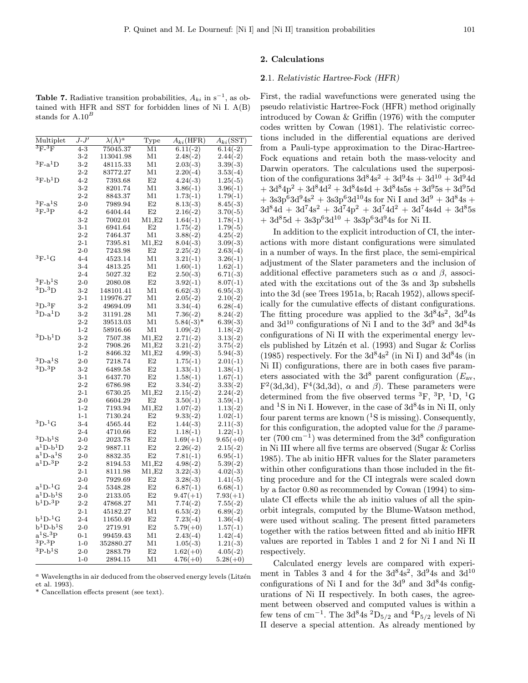## 2. Calculations

#### 2.1. Relativistic Hartree-Fock (HFR)

**Table 7.** Radiative transition probabilities,  $A_{ki}$  in s<sup>-1</sup>, as obtained with HFR and SST for forbidden lines of Ni I. A(B) stands for  $A.10<sup>B</sup>$ 

| Multiplet                                      | $J$ - $J^\prime$ | $\lambda(A)^a$ | $_{\rm Type}$  | $A_{ki}(\rm{HFR})$ | $A_{ki}(\mathrm{SST})$ |
|------------------------------------------------|------------------|----------------|----------------|--------------------|------------------------|
| $\mathrm{^{3}F_{\text{-}} {^{3}F}}$            | $4 - 3$          | 75045.37       | M1             | $6.11(-2)$         | $6.14(-2)$             |
|                                                | $3-2$            | 113041.98      | M1             | $2.48(-2)$         | $2.44(-2)$             |
| ${}^3\mathrm{F}\text{-}\mathrm{a}^1\mathrm{D}$ | $3-2$            | 48115.33       | M1             | $2.03(-3)$         | $3.39(-3)$             |
|                                                | $2-2$            | 83772.27       | M1             | $2.20(-4)$         | $3.53(-4)$             |
| $\rm ^3F$ -b $\rm ^1D$                         | $4 - 2$          | 7393.68        | E2             | $4.24(-3)$         | $1.25(-5)$             |
|                                                | $3-2$            | 8201.74        | M1             | $3.86(-1)$         | $3.96(-1)$             |
|                                                | 2-2              | 8843.37        | M1             | $1.73(-1)$         | $1.79(-1)$             |
| $\rm ^3F$ -a $\rm ^1S$                         | $_{2-0}$         | 7989.94        | E2             | $8.13(-3)$         | $8.45(-3)$             |
| ${}^{3}F-{}^{3}P$                              | $4 - 2$          | 6404.44        | E2             | $2.16(-2)$         | $3.70(-5)$             |
|                                                | $3 - 2$          | 7002.01        | $_{\rm M1,E2}$ | $1.64(-1)$         | $1.78(-1)$             |
|                                                | 3-1              | 6941.64        | $_{\rm E2}$    | $1.75(-2)$         | $1.79(-5)$             |
|                                                | $2 - 2$          | 7464.37        | M1             | $3.88(-2)$         | $4.25(-2)$             |
|                                                | $2 - 1$          | 7395.81        | $_{\rm M1,E2}$ | $8.04(-3)$         | $3.09(-3)$             |
|                                                | $2 - 0$          | 7243.98        | E2             | $2.25(-2)$         | $2.63(-4)$             |
| $^3F-1G$                                       | 4-4              | 4523.14        | M1             | $3.21(-1)$         | $3.26(-1)$             |
|                                                | $3-4$            | 4813.25        | M1             | $1.60(-1)$         | $1.62(-1)$             |
|                                                | $2 - 4$          | 5027.32        | E2             | $2.50(-3)$         | $6.71(-3)$             |
| $\rm ^3F\text{-}b^1S$                          | $2 - 0$          | 2080.08        | E2             | $3.92(-1)$         | $8.07(-1)$             |
| $\rm ^3D$ - $\rm ^3D$                          | $3-2$            | 148101.41      | M1             | $6.62(-3)$         | $6.95(-3)$             |
|                                                | $2 - 1$          | 119976.27      | Μ1             | $2.05(-2)$         | $2.10(-2)$             |
| $\rm ^3D$ - $\rm ^3F$                          | $3-2$            | 49694.09       | M1             | $3.34(-4)$         | $6.28(-4)$             |
| $\rm ^3D\text{-}a^1D$                          | $3-2$            | 31191.28       | M1             | $7.36(-2)$         | $8.24(-2)$             |
|                                                | $2 - 2$          | 39513.03       | M1             | $5.84(-3)$ *       | $6.39(-3)$             |
|                                                | $1-2$            | 58916.66       | M1             | $1.09(-2)$         | $1.18(-2)$             |
| ${}^{3}D-b{}^{1}D$                             | $3-2$            | 7507.38        | M1, E2         | $2.71(-2)$         | $3.13(-2)$             |
|                                                | $2-2$            | 7908.26        | M1,E2          | $3.21(-2)$         | $3.75(-2)$             |
|                                                | $1 - 2$          | 8466.32        | M1,E2          | $4.99(-3)$         | $5.94(-3)$             |
| $\rm ^3D$ -a $\rm ^1S$                         | $2 - 0$          | 7218.74        | E2             | $1.75(-1)$         | $2.01(-1)$             |
| ${}^{3}D-{}^{3}P$                              | $3-2$            | 6489.58        | E2             | $1.33(-1)$         | $1.38(-1)$             |
|                                                | $3-1$            | 6437.70        | E2             | $1.58(-1)$         | $1.67(-1)$             |
|                                                | $2-2$            | 6786.98        | $_{\rm E2}$    | $3.34(-2)$         | $3.33(-2)$             |
|                                                | $2 - 1$          | 6730.25        | $_{\rm M1,E2}$ | $2.15(-2)$         | $2.24(-2)$             |
|                                                | $2-0$            | 6604.29        | $_{\rm E2}$    | $3.50(-1)$         | $3.59(-1)$             |
|                                                | $1 - 2$          | 7193.94        | M1, E2         | $1.07(-2)$         | $1.13(-2)$             |
|                                                | $1 - 1$          | 7130.24        | $_{\rm E2}$    | $9.33(-2)$         | $1.02(-1)$             |
| $\rm ^3D$ - $\rm ^1G$                          | $3 - 4$          | 4565.44        | E2             | $1.44(-3)$         | $2.11(-3)$             |
|                                                | 2-4              | 4710.66        | $_{\rm E2}$    | $1.18(-1)$         | $1.22(-1)$             |
| ${}^{3}D-b{}^{1}S$                             | $2 - 0$          | 2023.78        | E2             | $1.69(+1)$         | $9.65(+0)$             |
| $a^1D-b^1D$                                    | $2 - 2$          | 9887.11        | E2             | $2.26(-2)$         | $2.15(-2)$             |
| $a^1D-a^1S$                                    | $_{2-0}$         | 8832.35        | E2             | $7.81(-1)$         | $6.95(-1)$             |
| $\rm a^1D$ - <sup>3</sup> P                    | $2 - 2$          | 8194.53        | M1, E2         | $4.98(-2)$         | $5.39(-2)$             |
|                                                | $2 - 1$          | 8111.98        | M1,E2          | $3.22(-3)$         | $4.02(-3)$             |
|                                                | $2 - 0$          | 7929.69        | $_{\rm E2}$    | $3.28(-3)$         | $1.41(-5)$             |
| $\rm a^1D\text{-}{}^1G$                        | $2 - 4$          | 5348.28        | $_{\rm E2}$    | $6.87(-1)$         | $6.68(-1)$             |
| $a^1D-b^1S$                                    | 2-0              | 2133.05        | E2             | $9.47(+1)$         | $7.93(+1)$             |
| $\rm b^1D$ - <sup>3</sup> P                    | $2 - 2$          | 47868.27       | M1             | $7.74(-2)$         | $7.55(-2)$             |
|                                                | $2 - 1$          | 45182.27       | M1             | $6.53(-2)$         | $6.89(-2)$             |
| $b^1D^{-1}G$                                   | $2 - 4$          | 11650.49       | E2             | $7.23(-4)$         | $1.36(-4)$             |
| $\rm b^1D\text{-}b^1S$                         | $2-0$            | 2719.91        | E2             | $5.79(+0)$         | $1.57(-1)$             |
| $\mathrm{a}^{1}\mathrm{S}$ - $^{3}\mathrm{P}$  | $0 - 1$          | 99459.43       | M1             | $2.43(-4)$         | $1.42(-4)$             |
| $^{3}P-^{3}P$                                  | $1-0$            | 352880.27      | M1             | $1.05(-3)$         | $1.21(-3)$             |
| ${}^{3}P-h{}^{1}S$                             | $2 - 0$          | 2883.79        | E2             | $1.62(+0)$         | $4.05(-2)$             |
|                                                | $1 - 0$          | 2894.15        | M1             | $4.76(+0)$         | $5.28(+0)$             |

 $a$  Wavelengths in air deduced from the observed energy levels (Litzén et al. 1993).

\* Cancellation effects present (see text).

First, the radial wavefunctions were generated using the pseudo relativistic Hartree-Fock (HFR) method originally introduced by Cowan & Griffin (1976) with the computer codes written by Cowan (1981). The relativistic corrections included in the differential equations are derived from a Pauli-type approximation to the Dirac-Hartree-Fock equations and retain both the mass-velocity and Darwin operators. The calculations used the superposition of the configurations  $3d^84s^2 + 3d^94s + 3d^{10} + 3d^94d$  $+ 3d^{8}4p^{2} + 3d^{8}4d^{2} + 3d^{8}4s4d + 3d^{8}4s5s + 3d^{9}5s + 3d^{9}5d$  $+ 3s3p^63d^94s^2 + 3s3p^63d^{10}4s$  for Ni I and  $3d^9 + 3d^84s +$  $3 \mathrm{d}^8 \mathrm{4d} + 3 \mathrm{d}^7 \mathrm{4s^2} + 3 \mathrm{d}^7 \mathrm{4p^2} + 3 \mathrm{d}^7 \mathrm{4d^2} + 3 \mathrm{d}^7 \mathrm{4s} \mathrm{4d} + 3 \mathrm{d}^8 5 \mathrm{s}$  $+ 3d^{8}5d + 3s3p^{6}3d^{10} + 3s3p^{6}3d^{9}4s$  for Ni II.

In addition to the explicit introduction of CI, the interactions with more distant configurations were simulated in a number of ways. In the first place, the semi-empirical adjustment of the Slater parameters and the inclusion of additional effective parameters such as  $\alpha$  and  $\beta$ , associated with the excitations out of the 3s and 3p subshells into the 3d (see Trees 1951a, b; Racah 1952), allows specifically for the cumulative effects of distant configurations. The fitting procedure was applied to the  $3d^84s^2$ ,  $3d^94s$ and  $3d^{10}$  configurations of Ni I and to the  $3d^9$  and  $3d^8$ 4s configurations of Ni II with the experimental energy levels published by Litzén et al. (1993) and Sugar & Corliss (1985) respectively. For the  $3d^84s^2$  (in Ni I) and  $3d^84s$  (in Ni II) configurations, there are in both cases five parameters associated with the  $3d^8$  parent configuration ( $E_{\text{av}}$ ,  $F^2(3d,3d)$ ,  $F^4(3d,3d)$ ,  $\alpha$  and  $\beta$ ). These parameters were determined from the five observed terms  ${}^{3}F, {}^{3}P, {}^{1}D, {}^{1}G$ and  ${}^{1}S$  in Ni I. However, in the case of  $3d^{8}4s$  in Ni II, only four parent terms are known  $(^1S)$  is missing). Consequently, for this configuration, the adopted value for the  $\beta$  parameter (700 cm<sup>-1</sup>) was determined from the 3d<sup>8</sup> configuration in Ni III where all five terms are observed (Sugar & Corliss 1985). The ab initio HFR values for the Slater parameters within other configurations than those included in the fitting procedure and for the CI integrals were scaled down by a factor 0.80 as recommended by Cowan (1994) to simulate CI effects while the ab initio values of all the spinorbit integrals, computed by the Blume-Watson method, were used without scaling. The present fitted parameters together with the ratios between fitted and ab initio HFR values are reported in Tables 1 and 2 for Ni I and Ni II respectively.

Calculated energy levels are compared with experiment in Tables 3 and 4 for the  $3d^{8}4s^{2}$ ,  $3d^{9}4s$  and  $3d^{10}$ configurations of Ni I and for the  $3d^9$  and  $3d^8$ 4s configurations of Ni II respectively. In both cases, the agreement between observed and computed values is within a few tens of cm<sup>−1</sup>. The 3d<sup>8</sup>4s<sup>2</sup>D<sub>5/2</sub> and <sup>4</sup>P<sub>5/2</sub> levels of Ni II deserve a special attention. As already mentioned by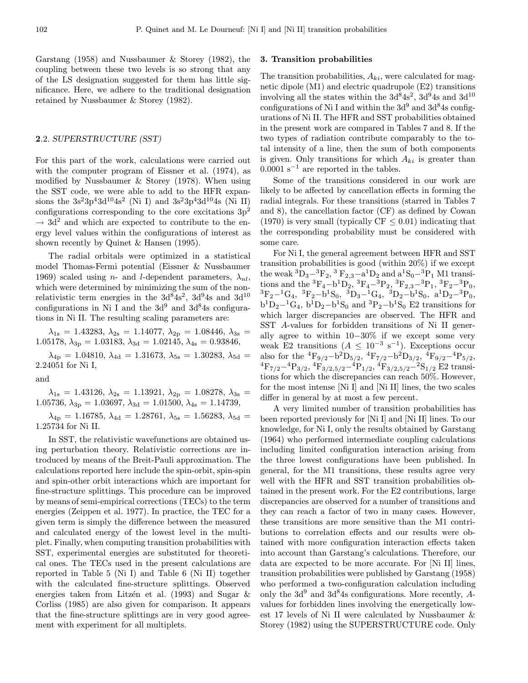Garstang (1958) and Nussbaumer & Storey (1982), the coupling between these two levels is so strong that any of the LS designation suggested for them has little significance. Here, we adhere to the traditional designation retained by Nussbaumer & Storey (1982).

## 2.2. SUPERSTRUCTURE (SST)

For this part of the work, calculations were carried out with the computer program of Eissner et al. (1974), as modified by Nussbaumer & Storey (1978). When using the SST code, we were able to add to the HFR expansions the  $3s^23p^43d^{10}4s^2$  (Ni I) and  $3s^23p^43d^{10}4s$  (Ni II) configurations corresponding to the core excitations  $3p<sup>2</sup>$  $\rightarrow$  3d<sup>2</sup> and which are expected to contribute to the energy level values within the configurations of interest as shown recently by Quinet & Hansen (1995).

The radial orbitals were optimized in a statistical model Thomas-Fermi potential (Eissner & Nussbaumer 1969) scaled using *n*- and *l*-dependent parameters,  $\lambda_{nl}$ , which were determined by minimizing the sum of the nonrelativistic term energies in the  $3d^{8}4s^{2}$ ,  $3d^{9}4s$  and  $3d^{10}$ configurations in Ni I and the  $3d^9$  and  $3d^8$ 4s configurations in Ni II. The resulting scaling parameters are:

 $\lambda_{1\text{s}}\,=\,1.43283,\:\lambda_{2\text{s}}\,=\,1.14077,\:\lambda_{2\text{p}}\,=\,1.08446,\:\lambda_{3\text{s}}\,=\,$ 1.05178,  $\lambda_{3p} = 1.03183$ ,  $\lambda_{3d} = 1.02145$ ,  $\lambda_{4s} = 0.93846$ ,

 $\lambda_{4p} = 1.04810, \lambda_{4d} = 1.31673, \lambda_{5s} = 1.30283, \lambda_{5d} =$ 2.24051 for Ni I,

and

 $\lambda_{1s} = 1.43126, \ \lambda_{2s} = 1.13921, \ \lambda_{2p} = 1.08278, \ \lambda_{3s} =$ 1.05736,  $\lambda_{3p} = 1.03697$ ,  $\lambda_{3d} = 1.01500$ ,  $\lambda_{4s} = 1.14739$ ,

 $\lambda_{4p} = 1.16785, \, \lambda_{4d} = 1.28761, \, \lambda_{5s} = 1.56283, \, \lambda_{5d} =$ 1.25734 for Ni II.

In SST, the relativistic wavefunctions are obtained using perturbation theory. Relativistic corrections are introduced by means of the Breit-Pauli approximation. The calculations reported here include the spin-orbit, spin-spin and spin-other orbit interactions which are important for fine-structure splittings. This procedure can be improved by means of semi-empirical corrections (TECs) to the term energies (Zeippen et al. 1977). In practice, the TEC for a given term is simply the difference between the measured and calculated energy of the lowest level in the multiplet. Finally, when computing transition probabilities with SST, experimental energies are substituted for theoretical ones. The TECs used in the present calculations are reported in Table 5 (Ni I) and Table 6 (Ni II) together with the calculated fine-structure splittings. Observed energies taken from Litzén et al. (1993) and Sugar  $\&$ Corliss (1985) are also given for comparison. It appears that the fine-structure splittings are in very good agreement with experiment for all multiplets.

#### 3. Transition probabilities

The transition probabilities,  $A_{ki}$ , were calculated for magnetic dipole (M1) and electric quadrupole (E2) transitions involving all the states within the  $3d^{8}4s^{2}$ ,  $3d^{9}4s$  and  $3d^{10}$ configurations of Ni I and within the  $3d<sup>9</sup>$  and  $3d<sup>8</sup>$ 4s configurations of Ni II. The HFR and SST probabilities obtained in the present work are compared in Tables 7 and 8. If the two types of radiation contribute comparably to the total intensity of a line, then the sum of both components is given. Only transitions for which  $A_{ki}$  is greater than  $0.0001$  s<sup>-1</sup> are reported in the tables.

Some of the transitions considered in our work are likely to be affected by cancellation effects in forming the radial integrals. For these transitions (starred in Tables 7 and 8), the cancellation factor (CF) as defined by Cowan (1970) is very small (typically  $CF \leq 0.01$ ) indicating that the corresponding probability must be considered with some care.

For Ni I, the general agreement between HFR and SST transition probabilities is good (within 20%) if we except the weak  ${}^{3}D_{3}$ - ${}^{3}F_{2}$ ,  ${}^{3}F_{2,3}$ - ${}^{3}D_{2}$  and  ${}^{3}S_{0}$ - ${}^{3}P_{1}$  M1 transitions and the  ${}^{3}F_{4}-b{}^{1}D_{2}$ ,  ${}^{3}F_{4}-{}^{3}P_{2}$ ,  ${}^{3}F_{2,3}-{}^{3}P_{1}$ ,  ${}^{3}F_{2}-{}^{3}P_{0}$ ,  ${}^{3}F_{2}-{}^{1}G_{4}$ ,  ${}^{3}F_{2}-b{}^{1}S_{0}$ ,  ${}^{3}D_{3}-{}^{1}G_{4}$ ,  ${}^{3}D_{2}-b{}^{1}S_{0}$ ,  ${}^{a}D_{2}-{}^{3}P_{0}$ ,  $b<sup>1</sup>D<sub>2</sub>–<sup>1</sup>G<sub>4</sub>$ ,  $b<sup>1</sup>D<sub>2</sub>–<sup>1</sup>S<sub>0</sub>$  and  $<sup>3</sup>P<sub>2</sub>–<sup>1</sup>S<sub>0</sub>$  E2 transitions for</sup> which larger discrepancies are observed. The HFR and SST A-values for forbidden transitions of Ni II generally agree to within 10−30% if we except some very weak E2 transitions  $(A \leq 10^{-3} \text{ s}^{-1})$ . Exceptions occur<br>also for the  ${}^{4}F_{9/2} - b^{2}D_{5/2}$ ,  ${}^{4}F_{7/2} - b^{2}D_{3/2}$ ,  ${}^{4}F_{9/2} - {}^{4}P_{5/2}$ ,  ${}^{4}F_{7/2}$ <sup>-4</sup>P<sub>3/2</sub>,  ${}^{4}F_{3/2,5/2}$ <sup>-4</sup>P<sub>1/2</sub>,  ${}^{4}F_{3/2,5/2}$ <sup>-2</sup>S<sub>1/2</sub> E2 transitions for which the discrepancies can reach 50%. However, for the most intense [Ni I] and [Ni II] lines, the two scales differ in general by at most a few percent.

A very limited number of transition probabilities has been reported previously for [Ni I] and [Ni II] lines. To our knowledge, for Ni I, only the results obtained by Garstang (1964) who performed intermediate coupling calculations including limited configuration interaction arising from the three lowest configurations have been published. In general, for the M1 transitions, these results agree very well with the HFR and SST transition probabilities obtained in the present work. For the E2 contributions, large discrepancies are observed for a number of transitions and they can reach a factor of two in many cases. However, these transitions are more sensitive than the M1 contributions to correlation effects and our results were obtained with more configuration interaction effects taken into account than Garstang's calculations. Therefore, our data are expected to be more accurate. For [Ni II] lines, transition probabilities were published by Garstang (1958) who performed a two-configuration calculation including only the  $3d^9$  and  $3d^84s$  configurations. More recently, Avalues for forbidden lines involving the energetically lowest 17 levels of Ni II were calculated by Nussbaumer & Storey (1982) using the SUPERSTRUCTURE code. Only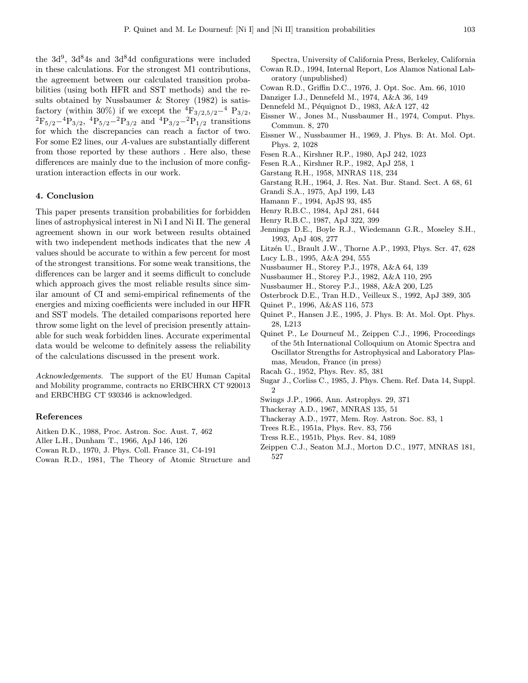the  $3d^9$ ,  $3d^8$ 4s and  $3d^8$ 4d configurations were included in these calculations. For the strongest M1 contributions, the agreement between our calculated transition probabilities (using both HFR and SST methods) and the results obtained by Nussbaumer & Storey (1982) is satisfactory (within 30%) if we except the  ${}^{4}F_{3/2,5/2}{}^{-4}P_{3/2}$ ,  ${}^{2}F_{5/2}{}^{-4}P_{3/2}$ ,  ${}^{4}P_{5/2}{}^{-2}P_{3/2}$  and  ${}^{4}P_{3/2}{}^{-2}P_{1/2}$  transitions for which the discrepancies can reach a factor of two. For some E2 lines, our A-values are substantially different from those reported by these authors . Here also, these differences are mainly due to the inclusion of more configuration interaction effects in our work.

## 4. Conclusion

This paper presents transition probabilities for forbidden lines of astrophysical interest in Ni I and Ni II. The general agreement shown in our work between results obtained with two independent methods indicates that the new A values should be accurate to within a few percent for most of the strongest transitions. For some weak transitions, the differences can be larger and it seems difficult to conclude which approach gives the most reliable results since similar amount of CI and semi-empirical refinements of the energies and mixing coefficients were included in our HFR and SST models. The detailed comparisons reported here throw some light on the level of precision presently attainable for such weak forbidden lines. Accurate experimental data would be welcome to definitely assess the reliability of the calculations discussed in the present work.

Acknowledgements. The support of the EU Human Capital and Mobility programme, contracts no ERBCHRX CT 920013 and ERBCHBG CT 930346 is acknowledged.

#### References

Aitken D.K., 1988, Proc. Astron. Soc. Aust. 7, 462

- Aller L.H., Dunham T., 1966, ApJ 146, 126
- Cowan R.D., 1970, J. Phys. Coll. France 31, C4-191
- Cowan R.D., 1981, The Theory of Atomic Structure and

Spectra, University of California Press, Berkeley, California Cowan R.D., 1994, Internal Report, Los Alamos National Laboratory (unpublished)

- Cowan R.D., Griffin D.C., 1976, J. Opt. Soc. Am. 66, 1010
- Danziger I.J., Dennefeld M., 1974, A&A 36, 149
- Dennefeld M., Péquignot D., 1983, A&A 127, 42
- Eissner W., Jones M., Nussbaumer H., 1974, Comput. Phys. Commun. 8, 270
- Eissner W., Nussbaumer H., 1969, J. Phys. B: At. Mol. Opt. Phys. 2, 1028
- Fesen R.A., Kirshner R.P., 1980, ApJ 242, 1023
- Fesen R.A., Kirshner R.P., 1982, ApJ 258, 1
- Garstang R.H., 1958, MNRAS 118, 234
- Garstang R.H., 1964, J. Res. Nat. Bur. Stand. Sect. A 68, 61
- Grandi S.A., 1975, ApJ 199, L43
- Hamann F., 1994, ApJS 93, 485
- Henry R.B.C., 1984, ApJ 281, 644
- Henry R.B.C., 1987, ApJ 322, 399
- Jennings D.E., Boyle R.J., Wiedemann G.R., Moseley S.H., 1993, ApJ 408, 277
- Litzén U., Brault J.W., Thorne A.P., 1993, Phys. Scr. 47, 628 Lucy L.B., 1995, A&A 294, 555
- Nussbaumer H., Storey P.J., 1978, A&A 64, 139
- Nussbaumer H., Storey P.J., 1982, A&A 110, 295
- Nussbaumer H., Storey P.J., 1988, A&A 200, L25
- Osterbrock D.E., Tran H.D., Veilleux S., 1992, ApJ 389, 305
- 
- Quinet P., 1996, A&AS 116, 573
- Quinet P., Hansen J.E., 1995, J. Phys. B: At. Mol. Opt. Phys. 28, L213
- Quinet P., Le Dourneuf M., Zeippen C.J., 1996, Proceedings of the 5th International Colloquium on Atomic Spectra and Oscillator Strengths for Astrophysical and Laboratory Plasmas, Meudon, France (in press)
- Racah G., 1952, Phys. Rev. 85, 381
- Sugar J., Corliss C., 1985, J. Phys. Chem. Ref. Data 14, Suppl.  $\mathfrak{D}$
- Swings J.P., 1966, Ann. Astrophys. 29, 371
- Thackeray A.D., 1967, MNRAS 135, 51
- Thackeray A.D., 1977, Mem. Roy. Astron. Soc. 83, 1
- Trees R.E., 1951a, Phys. Rev. 83, 756
- Tress R.E., 1951b, Phys. Rev. 84, 1089
- Zeippen C.J., Seaton M.J., Morton D.C., 1977, MNRAS 181, 527